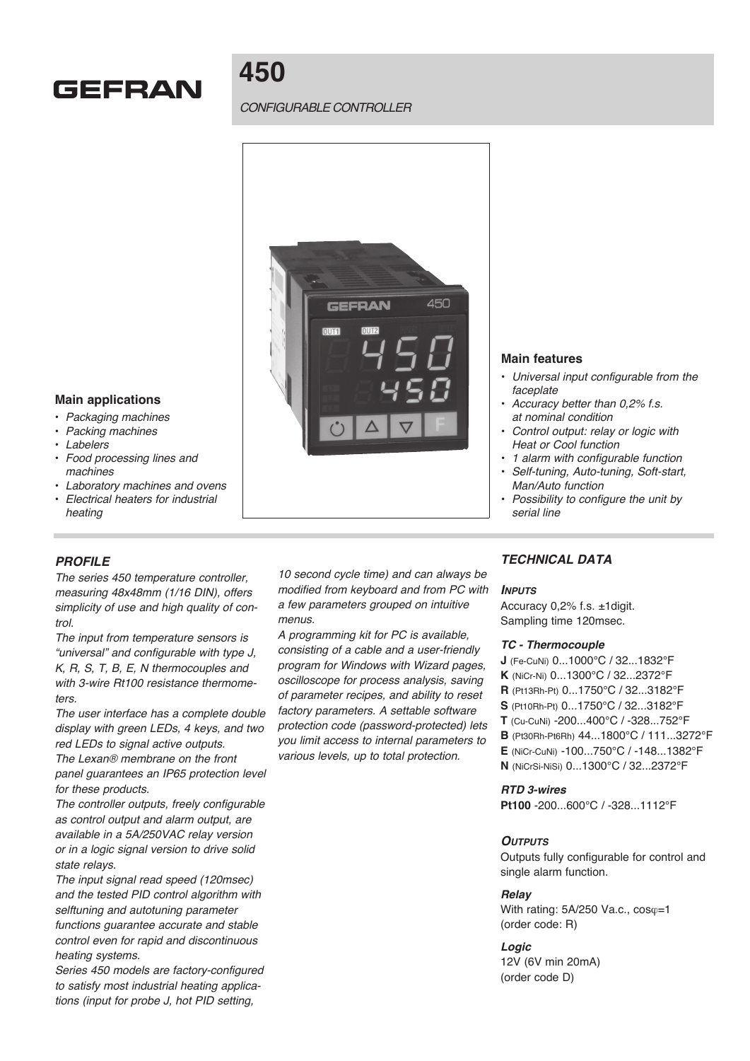

# **450**

## *CONFIGURABLE CONTROLLER*



#### **Main applications**

- *Packaging machines*
- *Packing machines*
- *Labelers*
- *Food processing lines and machines*
- *Laboratory machines and ovens*
- *Electrical heaters for industrial heating*

### *PROFILE*

*The series 450 temperature controller, measuring 48x48mm (1/16 DIN), offers simplicity of use and high quality of control.*

*The input from temperature sensors is "universal" and configurable with type J, K, R, S, T, B, E, N thermocouples and with 3-wire Rt100 resistance thermometers.*

*The user interface has a complete double display with green LEDs, 4 keys, and two red LEDs to signal active outputs.*

*The Lexan® membrane on the front panel guarantees an IP65 protection level for these products.*

*The controller outputs, freely configurable as control output and alarm output, are available in a 5A/250VAC relay version or in a logic signal version to drive solid state relays.*

*The input signal read speed (120msec) and the tested PID control algorithm with selftuning and autotuning parameter functions guarantee accurate and stable control even for rapid and discontinuous heating systems.* 

*Series 450 models are factory-configured to satisfy most industrial heating applications (input for probe J, hot PID setting,* 

*10 second cycle time) and can always be modified from keyboard and from PC with a few parameters grouped on intuitive menus.*

*A programming kit for PC is available, consisting of a cable and a user-friendly program for Windows with Wizard pages, oscilloscope for process analysis, saving of parameter recipes, and ability to reset factory parameters. A settable software protection code (password-protected) lets you limit access to internal parameters to various levels, up to total protection.*

### **Main features**

- *Universal input configurable from the faceplate*
- *Accuracy better than 0,2% f.s. at nominal condition*
- *Control output: relay or logic with Heat or Cool function*
- *1 alarm with configurable function*
- *Self-tuning, Auto-tuning, Soft-start, Man/Auto function*
- *Possibility to configure the unit by serial line*

## *TECHNICAL DATA*

#### *Inputs*

Accuracy 0,2% f.s. ±1digit. Sampling time 120msec.

#### *TC - Thermocouple*

- **J** (Fe-CuNi) 0...1000°C / 32...1832°F
- **K** (NiCr-Ni) 0...1300°C / 32...2372°F
- **R** (Pt13Rh-Pt) 0...1750°C / 32...3182°F
- **S** (Pt10Rh-Pt) 0...1750°C / 32...3182°F
- **T** (Cu-CuNi) -200...400°C / -328...752°F
- **B** (Pt30Rh-Pt6Rh) 44...1800°C / 111...3272°F
- **E** (NiCr-CuNi) -100...750°C / -148...1382°F
- **N** (NiCrSi-NiSi) 0...1300°C / 32...2372°F

#### *RTD 3-wires*

**Pt100** -200...600°C / -328...1112°F

#### *Outputs*

Outputs fully configurable for control and single alarm function.

#### *Relay*

With rating:  $5A/250$  Va.c.,  $cos\varphi=1$ (order code: R)

## *Logic*

12V (6V min 20mA) (order code D)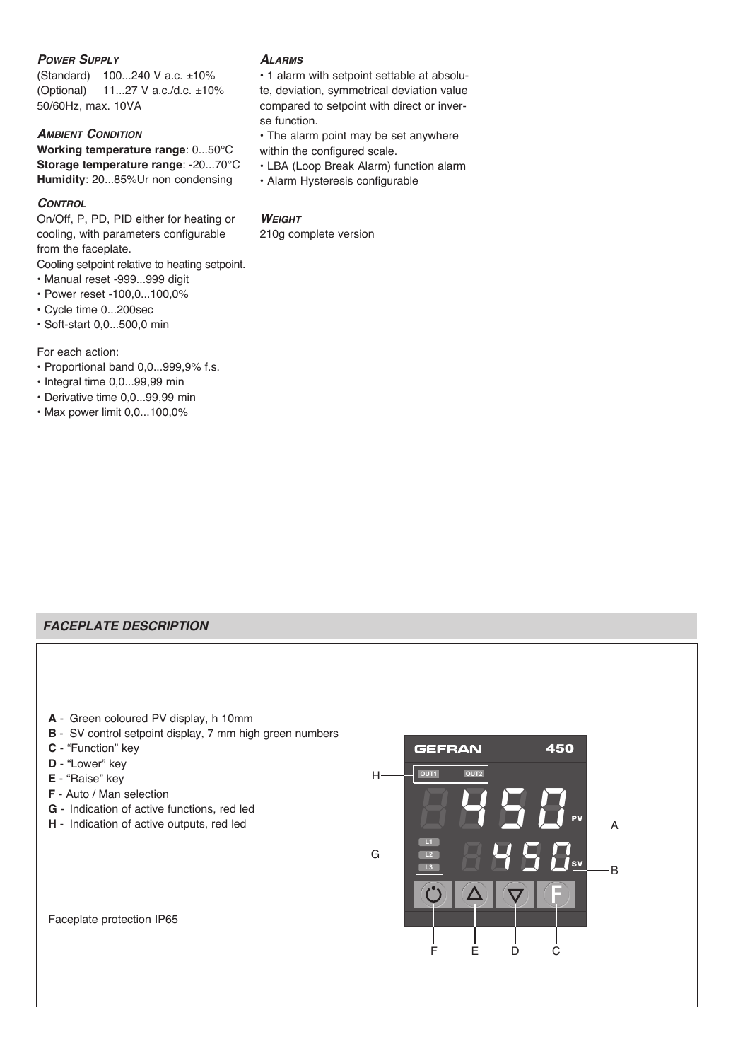## *Power Supply*

(Standard) 100...240 V a.c. ±10% (Optional) 11...27 V a.c./d.c. ±10% 50/60Hz, max. 10VA

## *Ambient Condition*

**Working temperature range**: 0...50°C **Storage temperature range**: -20...70°C **Humidity**: 20...85%Ur non condensing

### *Control*

On/Off, P, PD, PID either for heating or cooling, with parameters configurable from the faceplate.

Cooling setpoint relative to heating setpoint.

- Manual reset -999...999 digit
- Power reset -100,0...100,0%
- Cycle time 0...200sec
- Soft-start 0,0...500,0 min

For each action:

- Proportional band 0,0...999,9% f.s.
- Integral time 0,0...99,99 min
- Derivative time 0,0...99,99 min
- Max power limit 0,0...100,0%

## *Alarms*

• 1 alarm with setpoint settable at absolute, deviation, symmetrical deviation value compared to setpoint with direct or inverse function.

- The alarm point may be set anywhere within the configured scale.
- LBA (Loop Break Alarm) function alarm
- Alarm Hysteresis configurable

## *Weight*

210g complete version

## *FACEPLATE DESCRIPTION*

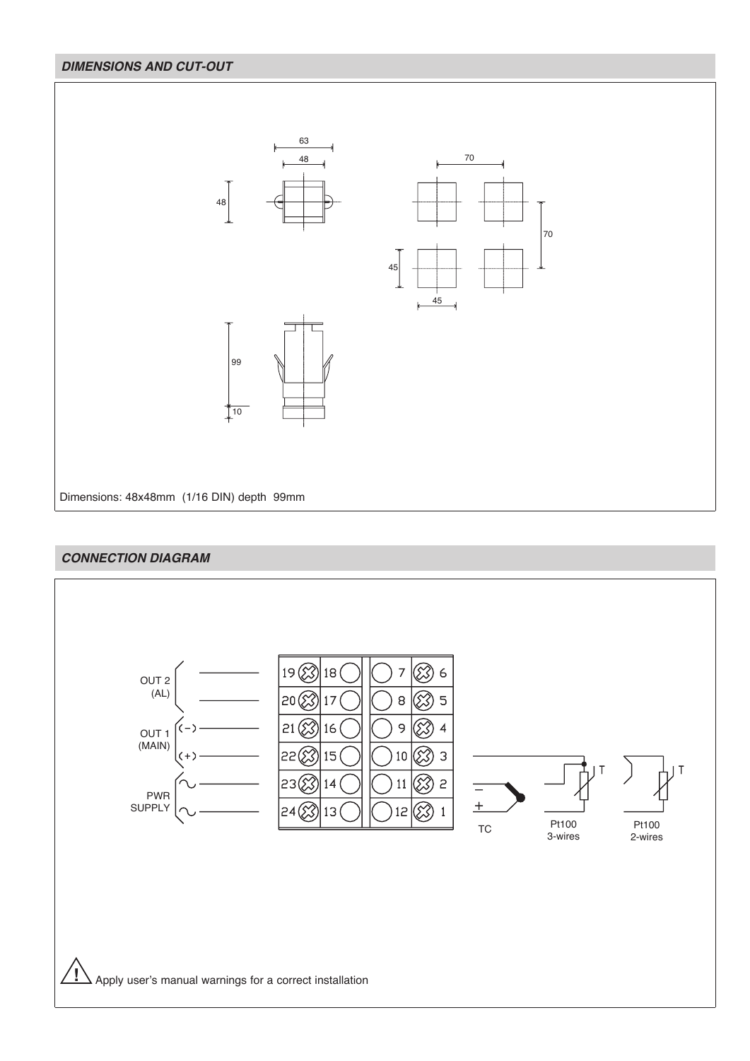# *DIMENSIONS AND CUT-OUT*



## *CONNECTION DIAGRAM*